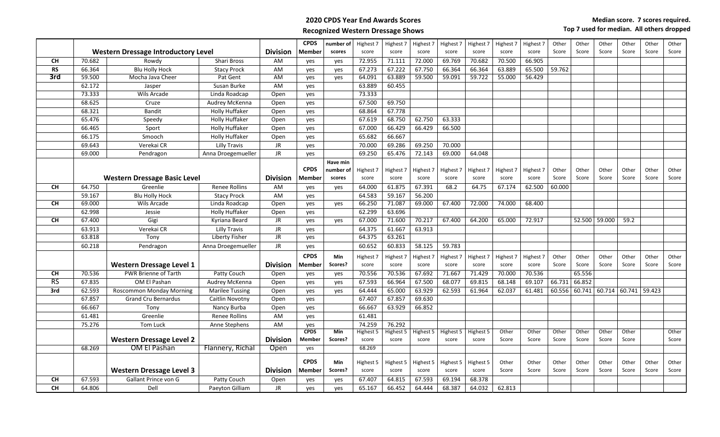## **2020 CPDS Year End Awards Scores** Recognized Western Dressage Shows<br>
Have min and the min and the min and the min and the min and the min and the min and the min and the min and the min and the min and the min and the min and the min and the min and the mi

|                                            |        |                                     |                        |                 | <b>CPDS</b>   | number of  | Highest 7          | Highest 7          | Highest 7          | Highest 7          | Highest 7          | Highest 7      | Highest 7 | Other          | Other          | Other         | Other                | Other | Other          |
|--------------------------------------------|--------|-------------------------------------|------------------------|-----------------|---------------|------------|--------------------|--------------------|--------------------|--------------------|--------------------|----------------|-----------|----------------|----------------|---------------|----------------------|-------|----------------|
| <b>Western Dressage Introductory Level</b> |        |                                     | <b>Division</b>        | Member          | scores        | score      | score              | score              | score              | score              | score              | score          | Score     | Score          | Score          | Score         | Score                | Score |                |
| <b>CH</b>                                  | 70.682 | Rowdy                               | Shari Bross            | AM              | yes           | yes        | 72.955             | 71.111             | 72.000             | 69.769             | 70.682             | 70.500         | 66.905    |                |                |               |                      |       |                |
| <b>RS</b>                                  | 66.364 | <b>Blu Holly Hock</b>               | <b>Stacy Prock</b>     | AM              | yes           | yes        | 67.273             | 67.222             | 67.750             | 66.364             | 66.364             | 63.889         | 65.500    | 59.762         |                |               |                      |       |                |
| 3rd                                        | 59.500 | Mocha Java Cheer                    | Pat Gent               | AM              | yes           | yes        | 64.091             | 63.889             | 59.500             | 59.091             | 59.722             | 55.000         | 56.429    |                |                |               |                      |       |                |
|                                            | 62.172 | Jasper                              | Susan Burke            | AM              | yes           |            | 63.889             | 60.455             |                    |                    |                    |                |           |                |                |               |                      |       |                |
|                                            | 73.333 | <b>Wils Arcade</b>                  | Linda Roadcap          | Open            | yes           |            | 73.333             |                    |                    |                    |                    |                |           |                |                |               |                      |       |                |
|                                            | 68.625 | Cruze                               | Audrey McKenna         | Open            | yes           |            | 67.500             | 69.750             |                    |                    |                    |                |           |                |                |               |                      |       |                |
|                                            | 68.321 | <b>Bandit</b>                       | <b>Holly Huffaker</b>  | Open            | yes           |            | 68.864             | 67.778             |                    |                    |                    |                |           |                |                |               |                      |       |                |
|                                            | 65.476 | Speedy                              | <b>Holly Huffaker</b>  | Open            | yes           |            | 67.619             | 68.750             | 62.750             | 63.333             |                    |                |           |                |                |               |                      |       |                |
|                                            | 66.465 | Sport                               | <b>Holly Huffaker</b>  | Open            | yes           |            | 67.000             | 66.429             | 66.429             | 66.500             |                    |                |           |                |                |               |                      |       |                |
|                                            | 66.175 | Smooch                              | <b>Holly Huffaker</b>  | Open            | yes           |            | 65.682             | 66.667             |                    |                    |                    |                |           |                |                |               |                      |       |                |
|                                            | 69.643 | Verekai CR                          | Lilly Travis           | JR              | yes           |            | 70.000             | 69.286             | 69.250             | 70.000             |                    |                |           |                |                |               |                      |       |                |
|                                            | 69.000 | Pendragon                           | Anna Droegemueller     | JR.             | yes           |            | 69.250             | 65.476             | 72.143             | 69.000             | 64.048             |                |           |                |                |               |                      |       |                |
|                                            |        |                                     |                        |                 |               | Have min   |                    |                    |                    |                    |                    |                |           |                |                |               |                      |       |                |
|                                            |        |                                     |                        |                 | <b>CPDS</b>   | number of  | Highest 7          | Highest 7          | Highest 7          | Highest 7          | Highest 7          | Highest 7      | Highest 7 | Other          | Other          | Other         | Other                | Other | Other          |
|                                            |        | <b>Western Dressage Basic Level</b> |                        | <b>Division</b> | Member        | scores     | score              | score              | score              | score              | score              | score          | score     | Score          | Score          | Score         | Score                | Score | Score          |
| <b>CH</b>                                  | 64.750 | Greenlie                            | <b>Renee Rollins</b>   | AM              | ves           | ves        | 64.000             | 61.875             | 67.391             | 68.2               | 64.75              | 67.174         | 62.500    | 60.000         |                |               |                      |       |                |
|                                            | 59.167 | <b>Blu Holly Hock</b>               | <b>Stacy Prock</b>     | AM              | yes           |            | 64.583             | 59.167             | 56.200             |                    |                    |                |           |                |                |               |                      |       |                |
| <b>CH</b>                                  | 69.000 | <b>Wils Arcade</b>                  | Linda Roadcap          | Open            | yes           | yes        | 66.250             | 71.087             | 69.000             | 67.400             | 72.000             | 74.000         | 68.400    |                |                |               |                      |       |                |
|                                            | 62.998 | Jessie                              | <b>Holly Huffaker</b>  | Open            | yes           |            | 62.299             | 63.696             |                    |                    |                    |                |           |                |                |               |                      |       |                |
| <b>CH</b>                                  | 67.400 | Gigi                                | Kyriana Beard          | JR              | yes           | yes        | 67.000             | 71.600             | 70.217             | 67.400             | 64.200             | 65.000         | 72.917    |                |                | 52.500 59.000 | 59.2                 |       |                |
|                                            | 63.913 | Verekai CR                          | <b>Lilly Travis</b>    | <b>JR</b>       | yes           |            | 64.375             | 61.667             | 63.913             |                    |                    |                |           |                |                |               |                      |       |                |
|                                            | 63.818 | Tony                                | Liberty Fisher         | <b>JR</b>       | yes           |            | 64.375             | 63.261             |                    |                    |                    |                |           |                |                |               |                      |       |                |
|                                            | 60.218 | Pendragon                           | Anna Droegemueller     | JR.             | yes           |            | 60.652             | 60.833             | 58.125             | 59.783             |                    |                |           |                |                |               |                      |       |                |
|                                            |        |                                     |                        |                 | <b>CPDS</b>   | Min        | Highest 7          | Highest 7          | Highest 7          | Highest 7          | Highest 7          | Highest 7      | Highest 7 | Other          | Other          | Other         | Other                | Other | Other          |
|                                            |        | <b>Western Dressage Level 1</b>     |                        | <b>Division</b> | Member        | Scores?    | score              | score              | score              | score              | score              | score          | score     | Score          | Score          | Score         | Score                | Score | Score          |
| <b>CH</b>                                  | 70.536 | <b>PWR Brienne of Tarth</b>         | Patty Couch            | Open            | yes           | yes        | 70.556             | 70.536             | 67.692             | 71.667             | 71.429             | 70.000         | 70.536    |                | 65.556         |               |                      |       |                |
| $\overline{\text{RS}}$                     | 67.835 | OM El Pashan                        | Audrey McKenna         | Open            | ves           | yes        | 67.593             | 66.964             | 67.500             | 68.077             | 69.815             | 68.148         | 69.107    | 66.731         | 66.852         |               |                      |       |                |
| 3rd                                        | 62.593 | <b>Roscommon Monday Morning</b>     | <b>Marilee Tussing</b> | Open            | yes           | yes        | 64.444             | 65.000             | 63.929             | 62.593             | 61.964             | 62.037         | 61.481    | 60.556         | 60.741         |               | 60.714 60.741 59.423 |       |                |
|                                            | 67.857 | Grand Cru Bernardus                 | Caitlin Novotny        | Open            | yes           |            | 67.407             | 67.857             | 69.630             |                    |                    |                |           |                |                |               |                      |       |                |
|                                            | 66.667 | Tony                                | Nancy Burba            | Open            | yes           |            | 66.667             | 63.929             | 66.852             |                    |                    |                |           |                |                |               |                      |       |                |
|                                            | 61.481 | Greenlie                            | <b>Renee Rollins</b>   | AM              | yes           |            | 61.481             |                    |                    |                    |                    |                |           |                |                |               |                      |       |                |
|                                            | 75.276 | Tom Luck                            | Anne Stephens          | AM              | yes           |            | 74.259             | 76.292             |                    |                    |                    |                |           |                |                |               |                      |       |                |
|                                            |        |                                     |                        |                 | <b>CPDS</b>   | <b>Min</b> | Highest 5          | Highest 5          | Highest 5          | Highest 5          | Highest 5          | Other          | Other     | Other          | Other          | Other         | Other                |       | Other          |
|                                            |        | <b>Western Dressage Level 2</b>     |                        | <b>Division</b> | <b>Member</b> | Scores?    | score              | score              | score              | score              | score              | Score          | Score     | Score          | Score          | Score         | Score                |       | Score          |
|                                            | 68.269 | <b>OM El Pashan</b>                 | Flannery, Richal       | Open            | yes           |            | 68.269             |                    |                    |                    |                    |                |           |                |                |               |                      |       |                |
|                                            |        |                                     |                        |                 | <b>CPDS</b>   | Min        |                    |                    |                    |                    |                    |                | Other     |                |                | Other         |                      | Other |                |
|                                            |        | <b>Western Dressage Level 3</b>     |                        | <b>Division</b> | Member        | Scores?    | Highest 5<br>score | Highest 5<br>score | Highest 5<br>score | Highest 5<br>score | Highest 5<br>score | Other<br>Score | Score     | Other<br>Score | Other<br>Score | Score         | Other<br>Score       | Score | Other<br>Score |
|                                            |        |                                     |                        |                 |               |            |                    |                    |                    |                    | 68.378             |                |           |                |                |               |                      |       |                |
| <b>CH</b>                                  | 67.593 | Gallant Prince von G                | Patty Couch            | Open            | yes           | yes        | 67.407             | 64.815             | 67.593             | 69.194             |                    |                |           |                |                |               |                      |       |                |
| <b>CH</b>                                  | 64.806 | Dell                                | Paeyton Gilliam        | JR.             | yes           | yes        | 65.167             | 66.452             | 64.444             | 68.387             | 64.032             | 62.813         |           |                |                |               |                      |       |                |